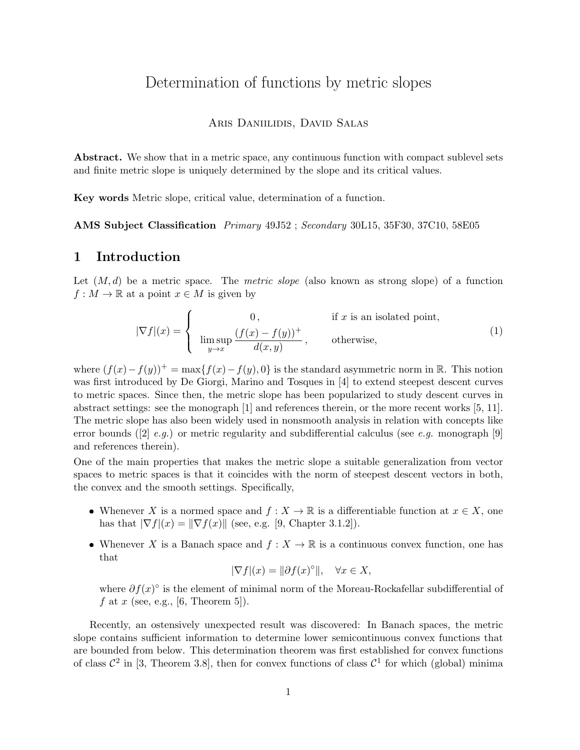# Determination of functions by metric slopes

#### Aris Daniilidis, David Salas

Abstract. We show that in a metric space, any continuous function with compact sublevel sets and finite metric slope is uniquely determined by the slope and its critical values.

Key words Metric slope, critical value, determination of a function.

AMS Subject Classification Primary 49J52 ; Secondary 30L15, 35F30, 37C10, 58E05

### 1 Introduction

Let  $(M, d)$  be a metric space. The *metric slope* (also known as strong slope) of a function  $f: M \to \mathbb{R}$  at a point  $x \in M$  is given by

$$
|\nabla f|(x) = \begin{cases} 0, & \text{if } x \text{ is an isolated point,} \\ \limsup_{y \to x} \frac{(f(x) - f(y))^+}{d(x, y)}, & \text{otherwise,} \end{cases}
$$
(1)

where  $(f(x)-f(y))^+ = \max\{f(x)-f(y), 0\}$  is the standard asymmetric norm in R. This notion was first introduced by De Giorgi, Marino and Tosques in [4] to extend steepest descent curves to metric spaces. Since then, the metric slope has been popularized to study descent curves in abstract settings: see the monograph [1] and references therein, or the more recent works [5, 11]. The metric slope has also been widely used in nonsmooth analysis in relation with concepts like error bounds ([2]  $e.g.$ ) or metric regularity and subdifferential calculus (see e.g. monograph [9] and references therein).

One of the main properties that makes the metric slope a suitable generalization from vector spaces to metric spaces is that it coincides with the norm of steepest descent vectors in both, the convex and the smooth settings. Specifically,

- Whenever X is a normed space and  $f: X \to \mathbb{R}$  is a differentiable function at  $x \in X$ , one has that  $|\nabla f|(x) = ||\nabla f(x)||$  (see, e.g. [9, Chapter 3.1.2]).
- Whenever X is a Banach space and  $f: X \to \mathbb{R}$  is a continuous convex function, one has that

$$
|\nabla f|(x) = \|\partial f(x)^\circ\|, \quad \forall x \in X,
$$

where  $\partial f(x)$ ° is the element of minimal norm of the Moreau-Rockafellar subdifferential of f at x (see, e.g., [6, Theorem 5]).

Recently, an ostensively unexpected result was discovered: In Banach spaces, the metric slope contains sufficient information to determine lower semicontinuous convex functions that are bounded from below. This determination theorem was first established for convex functions of class  $\mathcal{C}^2$  in [3, Theorem 3.8], then for convex functions of class  $\mathcal{C}^1$  for which (global) minima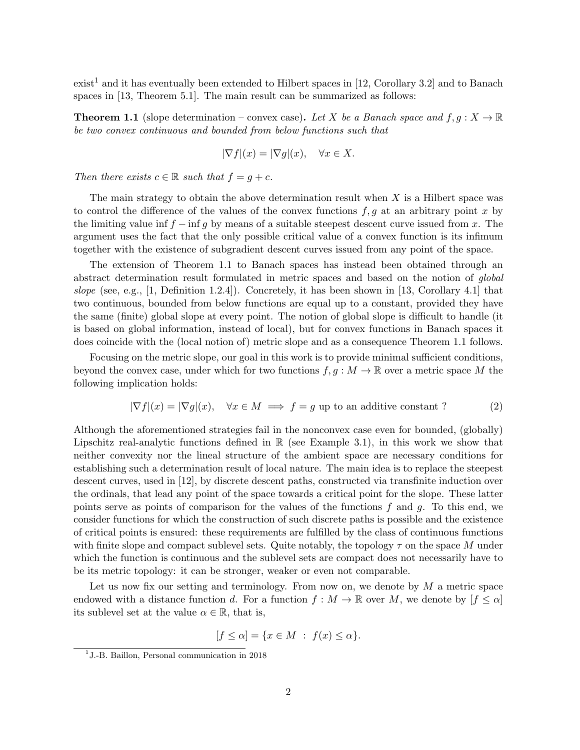$\text{exist}^1$  and it has eventually been extended to Hilbert spaces in [12, Corollary 3.2] and to Banach spaces in [13, Theorem 5.1]. The main result can be summarized as follows:

**Theorem 1.1** (slope determination – convex case). Let X be a Banach space and  $f, g: X \to \mathbb{R}$ be two convex continuous and bounded from below functions such that

$$
|\nabla f|(x) = |\nabla g|(x), \quad \forall x \in X.
$$

Then there exists  $c \in \mathbb{R}$  such that  $f = g + c$ .

The main strategy to obtain the above determination result when  $X$  is a Hilbert space was to control the difference of the values of the convex functions  $f, g$  at an arbitrary point x by the limiting value inf  $f - inf g$  by means of a suitable steepest descent curve issued from x. The argument uses the fact that the only possible critical value of a convex function is its infimum together with the existence of subgradient descent curves issued from any point of the space.

The extension of Theorem 1.1 to Banach spaces has instead been obtained through an abstract determination result formulated in metric spaces and based on the notion of global slope (see, e.g., [1, Definition 1.2.4]). Concretely, it has been shown in [13, Corollary 4.1] that two continuous, bounded from below functions are equal up to a constant, provided they have the same (finite) global slope at every point. The notion of global slope is difficult to handle (it is based on global information, instead of local), but for convex functions in Banach spaces it does coincide with the (local notion of) metric slope and as a consequence Theorem 1.1 follows.

Focusing on the metric slope, our goal in this work is to provide minimal sufficient conditions, beyond the convex case, under which for two functions  $f, g : M \to \mathbb{R}$  over a metric space M the following implication holds:

$$
|\nabla f|(x) = |\nabla g|(x), \quad \forall x \in M \implies f = g \text{ up to an additive constant ?}
$$
 (2)

Although the aforementioned strategies fail in the nonconvex case even for bounded, (globally) Lipschitz real-analytic functions defined in  $\mathbb R$  (see Example 3.1), in this work we show that neither convexity nor the lineal structure of the ambient space are necessary conditions for establishing such a determination result of local nature. The main idea is to replace the steepest descent curves, used in [12], by discrete descent paths, constructed via transfinite induction over the ordinals, that lead any point of the space towards a critical point for the slope. These latter points serve as points of comparison for the values of the functions f and q. To this end, we consider functions for which the construction of such discrete paths is possible and the existence of critical points is ensured: these requirements are fulfilled by the class of continuous functions with finite slope and compact sublevel sets. Quite notably, the topology  $\tau$  on the space M under which the function is continuous and the sublevel sets are compact does not necessarily have to be its metric topology: it can be stronger, weaker or even not comparable.

Let us now fix our setting and terminology. From now on, we denote by  $M$  a metric space endowed with a distance function d. For a function  $f : M \to \mathbb{R}$  over M, we denote by  $f \leq \alpha$ its sublevel set at the value  $\alpha \in \mathbb{R}$ , that is,

$$
[f \le \alpha] = \{x \in M : f(x) \le \alpha\}.
$$

<sup>&</sup>lt;sup>1</sup> J.-B. Baillon, Personal communication in 2018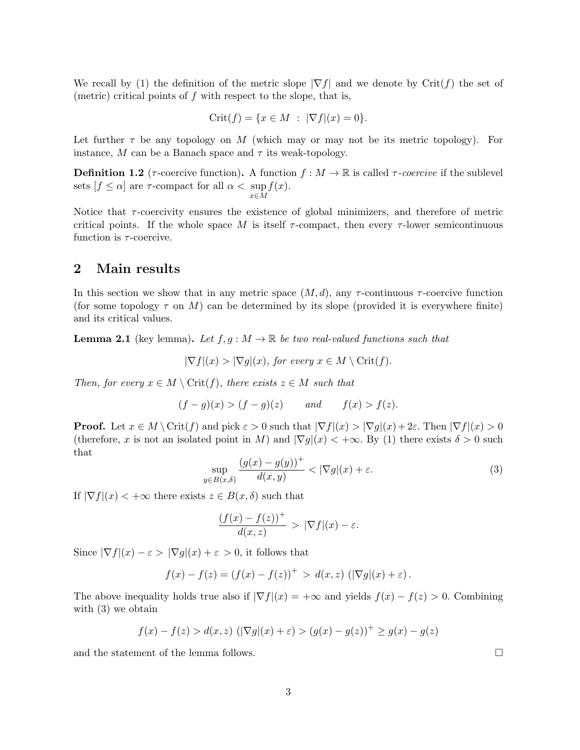We recall by (1) the definition of the metric slope  $|\nabla f|$  and we denote by Crit(f) the set of (metric) critical points of  $f$  with respect to the slope, that is,

$$
Crit(f) = \{ x \in M : |\nabla f|(x) = 0 \}.
$$

Let further  $\tau$  be any topology on M (which may or may not be its metric topology). For instance, M can be a Banach space and  $\tau$  its weak-topology.

**Definition 1.2** ( $\tau$ -coercive function). A function  $f : M \to \mathbb{R}$  is called  $\tau$ -coercive if the sublevel sets  $[f \leq \alpha]$  are  $\tau$ -compact for all  $\alpha < \sup f(x)$ . x∈M

Notice that  $\tau$ -coercivity ensures the existence of global minimizers, and therefore of metric critical points. If the whole space M is itself  $\tau$ -compact, then every  $\tau$ -lower semicontinuous function is  $\tau$ -coercive.

#### 2 Main results

In this section we show that in any metric space  $(M, d)$ , any  $\tau$ -continuous  $\tau$ -coercive function (for some topology  $\tau$  on M) can be determined by its slope (provided it is everywhere finite) and its critical values.

**Lemma 2.1** (key lemma). Let  $f, g: M \to \mathbb{R}$  be two real-valued functions such that

$$
|\nabla f|(x) > |\nabla g|(x), \text{ for every } x \in M \setminus \text{Crit}(f).
$$

Then, for every  $x \in M \setminus \text{Crit}(f)$ , there exists  $z \in M$  such that

$$
(f-g)(x) > (f-g)(z) \qquad and \qquad f(x) > f(z).
$$

**Proof.** Let  $x \in M \setminus \text{Crit}(f)$  and pick  $\varepsilon > 0$  such that  $|\nabla f|(x) > |\nabla g|(x) + 2\varepsilon$ . Then  $|\nabla f|(x) > 0$ (therefore, x is not an isolated point in M) and  $|\nabla q(x)| < +\infty$ . By (1) there exists  $\delta > 0$  such that

$$
\sup_{y \in B(x,\delta)} \frac{\left(g(x) - g(y)\right)^{+}}{d(x,y)} < |\nabla g|(x) + \varepsilon. \tag{3}
$$

If  $|\nabla f|(x) < +\infty$  there exists  $z \in B(x,\delta)$  such that

$$
\frac{(f(x) - f(z))^{+}}{d(x, z)} > |\nabla f|(x) - \varepsilon.
$$

Since  $|\nabla f|(x) - \varepsilon > |\nabla g|(x) + \varepsilon > 0$ , it follows that

$$
f(x) - f(z) = (f(x) - f(z))^{+} > d(x, z) \left( |\nabla g|(x) + \varepsilon \right).
$$

The above inequality holds true also if  $|\nabla f|(x) = +\infty$  and yields  $f(x) - f(z) > 0$ . Combining with  $(3)$  we obtain

$$
f(x) - f(z) > d(x, z) \left( |\nabla g|(x) + \varepsilon \right) > (g(x) - g(z))^+ \ge g(x) - g(z)
$$

and the statement of the lemma follows.

3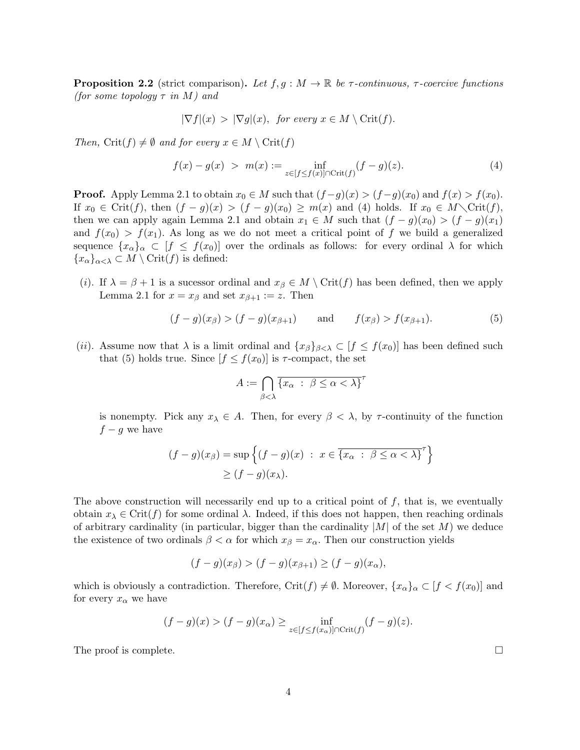**Proposition 2.2** (strict comparison). Let  $f, g : M \to \mathbb{R}$  be  $\tau$ -continuous,  $\tau$ -coercive functions (for some topology  $\tau$  in M) and

$$
|\nabla f|(x) > |\nabla g|(x), \text{ for every } x \in M \setminus \text{Crit}(f).
$$

Then, Crit(f)  $\neq \emptyset$  and for every  $x \in M \setminus \text{Crit}(f)$ 

$$
f(x) - g(x) > m(x) := \inf_{z \in [f \le f(x)] \cap \text{Crit}(f)} (f - g)(z).
$$
 (4)

**Proof.** Apply Lemma 2.1 to obtain  $x_0 \in M$  such that  $(f-g)(x) > (f-g)(x_0)$  and  $f(x) > f(x_0)$ . If  $x_0 \in \text{Crit}(f)$ , then  $(f - g)(x) > (f - g)(x_0) \ge m(x)$  and (4) holds. If  $x_0 \in M \setminus \text{Crit}(f)$ , then we can apply again Lemma 2.1 and obtain  $x_1 \in M$  such that  $(f - g)(x_0) > (f - g)(x_1)$ and  $f(x_0) > f(x_1)$ . As long as we do not meet a critical point of f we build a generalized sequence  $\{x_\alpha\}_\alpha \subset [f \leq f(x_0)]$  over the ordinals as follows: for every ordinal  $\lambda$  for which  ${x_{\alpha}}_{\alpha<\lambda} \subset M \setminus \text{Crit}(f)$  is defined:

(i). If  $\lambda = \beta + 1$  is a sucessor ordinal and  $x_{\beta} \in M \setminus \text{Crit}(f)$  has been defined, then we apply Lemma 2.1 for  $x = x_{\beta}$  and set  $x_{\beta+1} := z$ . Then

$$
(f - g)(x_{\beta}) > (f - g)(x_{\beta+1})
$$
 and  $f(x_{\beta}) > f(x_{\beta+1}).$  (5)

(ii). Assume now that  $\lambda$  is a limit ordinal and  $\{x_\beta\}_{\beta<\lambda} \subset [f \leq f(x_0)]$  has been defined such that (5) holds true. Since  $[f \leq f(x_0)]$  is  $\tau$ -compact, the set

$$
A := \bigcap_{\beta < \lambda} \overline{\{x_{\alpha} \; : \; \beta \le \alpha < \lambda\}}^{\tau}
$$

is nonempty. Pick any  $x_{\lambda} \in A$ . Then, for every  $\beta < \lambda$ , by  $\tau$ -continuity of the function  $f - q$  we have

$$
(f - g)(x_{\beta}) = \sup \left\{ (f - g)(x) : x \in \overline{\{x_{\alpha} : \beta \le \alpha < \lambda\}}^{\tau} \right\}
$$
  
 
$$
\ge (f - g)(x_{\lambda}).
$$

The above construction will necessarily end up to a critical point of  $f$ , that is, we eventually obtain  $x_{\lambda} \in \text{Crit}(f)$  for some ordinal  $\lambda$ . Indeed, if this does not happen, then reaching ordinals of arbitrary cardinality (in particular, bigger than the cardinality  $|M|$  of the set M) we deduce the existence of two ordinals  $\beta < \alpha$  for which  $x_{\beta} = x_{\alpha}$ . Then our construction yields

$$
(f - g)(x_{\beta}) > (f - g)(x_{\beta + 1}) \ge (f - g)(x_{\alpha}),
$$

which is obviously a contradiction. Therefore, Crit $(f) \neq \emptyset$ . Moreover,  $\{x_{\alpha}\}_\alpha \subset [f < f(x_0)]$  and for every  $x_{\alpha}$  we have

$$
(f-g)(x) > (f-g)(x_{\alpha}) \ge \inf_{z \in [f \le f(x_{\alpha})] \cap \text{Crit}(f)} (f-g)(z).
$$

The proof is complete.  $\Box$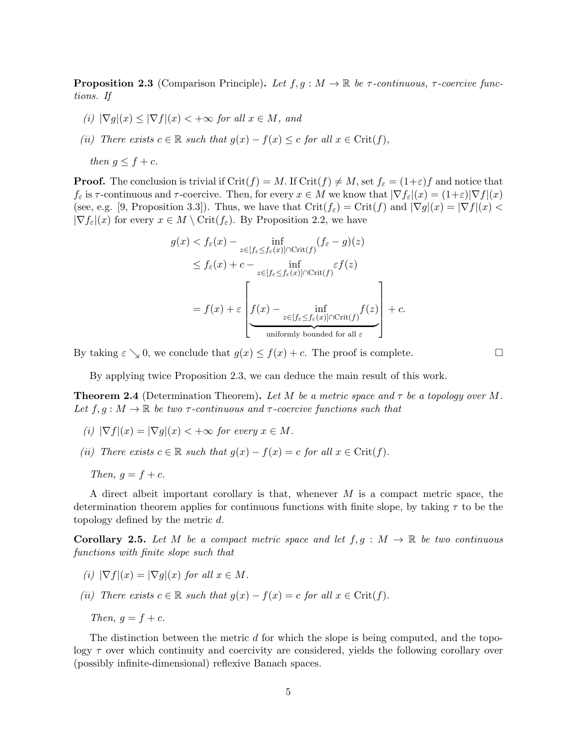**Proposition 2.3** (Comparison Principle). Let  $f, g : M \to \mathbb{R}$  be  $\tau$ -continuous,  $\tau$ -coercive functions. If

(i)  $|\nabla g|(x) \leq |\nabla f|(x) < +\infty$  for all  $x \in M$ , and

(ii) There exists  $c \in \mathbb{R}$  such that  $g(x) - f(x) \leq c$  for all  $x \in \text{Crit}(f)$ ,

then  $q \leq f + c$ .

**Proof.** The conclusion is trivial if  $Crit(f) = M$ . If  $Crit(f) \neq M$ , set  $f_{\varepsilon} = (1+\varepsilon)f$  and notice that  $f_{\varepsilon}$  is  $\tau$ -continuous and  $\tau$ -coercive. Then, for every  $x \in M$  we know that  $|\nabla f_{\varepsilon}|(x) = (1+\varepsilon)|\nabla f|(x)$ (see, e.g. [9, Proposition 3.3]). Thus, we have that  $\operatorname{Crit}(f_{\varepsilon}) = \operatorname{Crit}(f)$  and  $|\nabla g|(x) = |\nabla f|(x)$  $|\nabla f_{\varepsilon}|(x)$  for every  $x \in M \setminus \mathrm{Crit}(f_{\varepsilon})$ . By Proposition 2.2, we have

$$
g(x) < f_{\varepsilon}(x) - \inf_{z \in [f_{\varepsilon} \le f_{\varepsilon}(x)] \cap \text{Crit}(f)} (f_{\varepsilon} - g)(z)
$$
\n
$$
\le f_{\varepsilon}(x) + c - \inf_{z \in [f_{\varepsilon} \le f_{\varepsilon}(x)] \cap \text{Crit}(f)} \varepsilon f(z)
$$
\n
$$
= f(x) + \varepsilon \left[ f(x) - \inf_{z \in [f_{\varepsilon} \le f_{\varepsilon}(x)] \cap \text{Crit}(f)} f(z) \right] + c.
$$
\nuniformly bounded for all  $\varepsilon$ .

By taking  $\varepsilon \searrow 0$ , we conclude that  $g(x) \le f(x) + c$ . The proof is complete.

By applying twice Proposition 2.3, we can deduce the main result of this work.

**Theorem 2.4** (Determination Theorem). Let M be a metric space and  $\tau$  be a topology over M. Let  $f, g : M \to \mathbb{R}$  be two  $\tau$ -continuous and  $\tau$ -coercive functions such that

- (i)  $|\nabla f|(x) = |\nabla g|(x) < +\infty$  for every  $x \in M$ .
- (ii) There exists  $c \in \mathbb{R}$  such that  $g(x) f(x) = c$  for all  $x \in \text{Crit}(f)$ .

A direct albeit important corollary is that, whenever  $M$  is a compact metric space, the determination theorem applies for continuous functions with finite slope, by taking  $\tau$  to be the topology defined by the metric d.

**Corollary 2.5.** Let M be a compact metric space and let  $f, g : M \to \mathbb{R}$  be two continuous functions with finite slope such that

- (i)  $|\nabla f|(x) = |\nabla g|(x)$  for all  $x \in M$ .
- (ii) There exists  $c \in \mathbb{R}$  such that  $g(x) f(x) = c$  for all  $x \in \text{Crit}(f)$ .
	- Then,  $g = f + c$ .

The distinction between the metric d for which the slope is being computed, and the topology  $\tau$  over which continuity and coercivity are considered, yields the following corollary over (possibly infinite-dimensional) reflexive Banach spaces.

Then,  $q = f + c$ .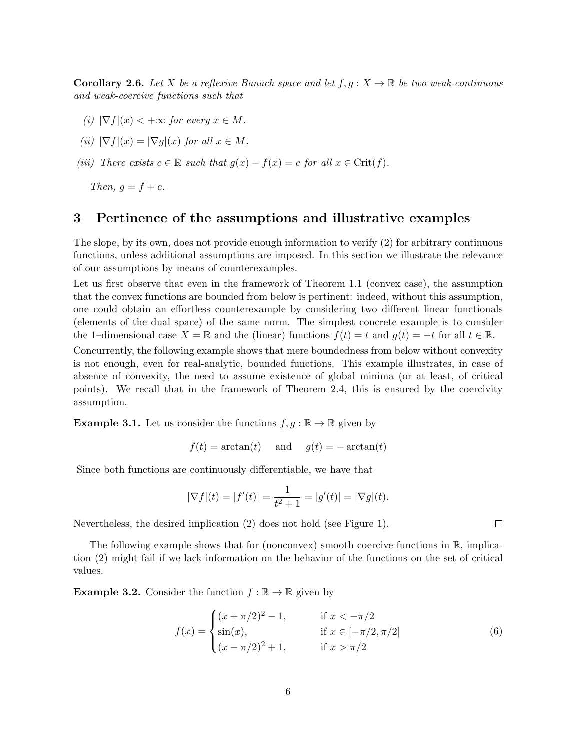**Corollary 2.6.** Let X be a reflexive Banach space and let  $f, g: X \to \mathbb{R}$  be two weak-continuous and weak-coercive functions such that

- (i)  $|\nabla f|(x) < +\infty$  for every  $x \in M$ .
- (ii)  $|\nabla f|(x) = |\nabla g|(x)$  for all  $x \in M$ .
- (iii) There exists  $c \in \mathbb{R}$  such that  $g(x) f(x) = c$  for all  $x \in \text{Crit}(f)$ .

Then,  $g = f + c$ .

## 3 Pertinence of the assumptions and illustrative examples

The slope, by its own, does not provide enough information to verify (2) for arbitrary continuous functions, unless additional assumptions are imposed. In this section we illustrate the relevance of our assumptions by means of counterexamples.

Let us first observe that even in the framework of Theorem 1.1 (convex case), the assumption that the convex functions are bounded from below is pertinent: indeed, without this assumption, one could obtain an effortless counterexample by considering two different linear functionals (elements of the dual space) of the same norm. The simplest concrete example is to consider the 1–dimensional case  $X = \mathbb{R}$  and the (linear) functions  $f(t) = t$  and  $g(t) = -t$  for all  $t \in \mathbb{R}$ .

Concurrently, the following example shows that mere boundedness from below without convexity is not enough, even for real-analytic, bounded functions. This example illustrates, in case of absence of convexity, the need to assume existence of global minima (or at least, of critical points). We recall that in the framework of Theorem 2.4, this is ensured by the coercivity assumption.

**Example 3.1.** Let us consider the functions  $f, g : \mathbb{R} \to \mathbb{R}$  given by

$$
f(t) = \arctan(t)
$$
 and  $g(t) = -\arctan(t)$ 

Since both functions are continuously differentiable, we have that

$$
|\nabla f|(t) = |f'(t)| = \frac{1}{t^2 + 1} = |g'(t)| = |\nabla g|(t).
$$

Nevertheless, the desired implication (2) does not hold (see Figure 1).

The following example shows that for (nonconvex) smooth coercive functions in  $\mathbb{R}$ , implication (2) might fail if we lack information on the behavior of the functions on the set of critical values.

**Example 3.2.** Consider the function  $f : \mathbb{R} \to \mathbb{R}$  given by

$$
f(x) = \begin{cases} (x + \pi/2)^2 - 1, & \text{if } x < -\pi/2 \\ \sin(x), & \text{if } x \in [-\pi/2, \pi/2] \\ (x - \pi/2)^2 + 1, & \text{if } x > \pi/2 \end{cases}
$$
(6)

 $\Box$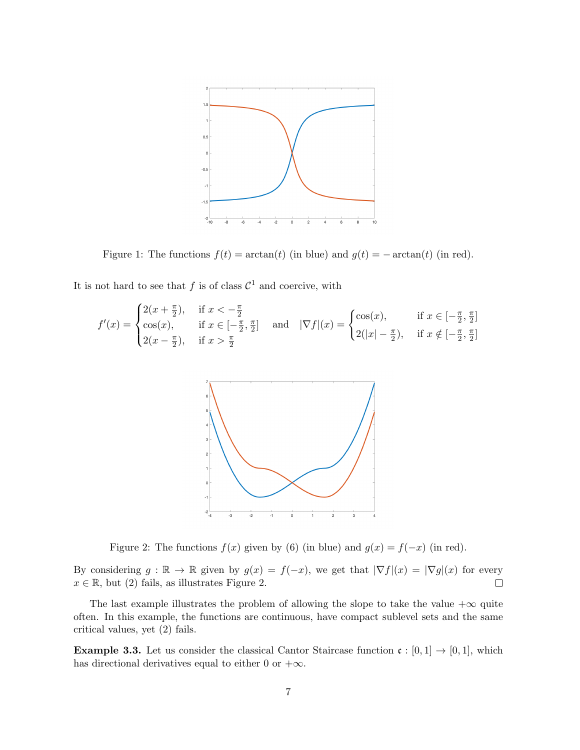

Figure 1: The functions  $f(t) = \arctan(t)$  (in blue) and  $g(t) = -\arctan(t)$  (in red).

It is not hard to see that f is of class  $\mathcal{C}^1$  and coercive, with

$$
f'(x) = \begin{cases} 2(x + \frac{\pi}{2}), & \text{if } x < -\frac{\pi}{2} \\ \cos(x), & \text{if } x \in [-\frac{\pi}{2}, \frac{\pi}{2}] \\ 2(x - \frac{\pi}{2}), & \text{if } x > \frac{\pi}{2} \end{cases} \text{ and } |\nabla f|(x) = \begin{cases} \cos(x), & \text{if } x \in [-\frac{\pi}{2}, \frac{\pi}{2}] \\ 2(|x| - \frac{\pi}{2}), & \text{if } x \notin [-\frac{\pi}{2}, \frac{\pi}{2}] \end{cases}
$$



Figure 2: The functions  $f(x)$  given by (6) (in blue) and  $g(x) = f(-x)$  (in red).

By considering  $g : \mathbb{R} \to \mathbb{R}$  given by  $g(x) = f(-x)$ , we get that  $|\nabla f|(x) = |\nabla g|(x)$  for every  $x \in \mathbb{R}$ , but (2) fails, as illustrates Figure 2.  $\Box$ 

The last example illustrates the problem of allowing the slope to take the value  $+\infty$  quite often. In this example, the functions are continuous, have compact sublevel sets and the same critical values, yet (2) fails.

**Example 3.3.** Let us consider the classical Cantor Staircase function  $\mathfrak{c}: [0,1] \to [0,1]$ , which has directional derivatives equal to either 0 or  $+\infty$ .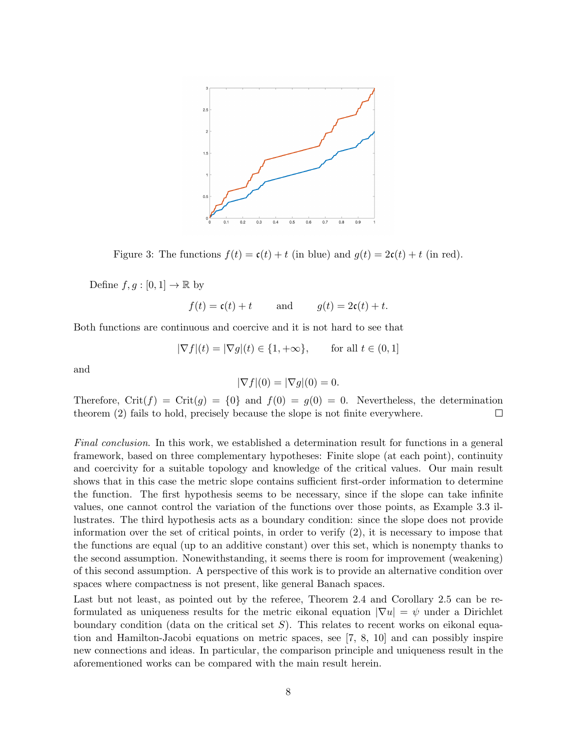

Figure 3: The functions  $f(t) = \mathfrak{c}(t) + t$  (in blue) and  $g(t) = 2\mathfrak{c}(t) + t$  (in red).

Define  $f, g : [0, 1] \to \mathbb{R}$  by

$$
f(t) = \mathfrak{c}(t) + t
$$
 and  $g(t) = 2\mathfrak{c}(t) + t$ .

Both functions are continuous and coercive and it is not hard to see that

$$
|\nabla f|(t) = |\nabla g|(t) \in \{1, +\infty\}, \quad \text{for all } t \in (0, 1]
$$

and

$$
|\nabla f|(0) = |\nabla g|(0) = 0.
$$

Therefore, Crit(f) = Crit(g) = {0} and  $f(0) = g(0) = 0$ . Nevertheless, the determination theorem (2) fails to hold, precisely because the slope is not finite everywhere.  $\Box$ 

Final conclusion. In this work, we established a determination result for functions in a general framework, based on three complementary hypotheses: Finite slope (at each point), continuity and coercivity for a suitable topology and knowledge of the critical values. Our main result shows that in this case the metric slope contains sufficient first-order information to determine the function. The first hypothesis seems to be necessary, since if the slope can take infinite values, one cannot control the variation of the functions over those points, as Example 3.3 illustrates. The third hypothesis acts as a boundary condition: since the slope does not provide information over the set of critical points, in order to verify (2), it is necessary to impose that the functions are equal (up to an additive constant) over this set, which is nonempty thanks to the second assumption. Nonewithstanding, it seems there is room for improvement (weakening) of this second assumption. A perspective of this work is to provide an alternative condition over spaces where compactness is not present, like general Banach spaces.

Last but not least, as pointed out by the referee, Theorem 2.4 and Corollary 2.5 can be reformulated as uniqueness results for the metric eikonal equation  $|\nabla u| = \psi$  under a Dirichlet boundary condition (data on the critical set  $S$ ). This relates to recent works on eikonal equation and Hamilton-Jacobi equations on metric spaces, see [7, 8, 10] and can possibly inspire new connections and ideas. In particular, the comparison principle and uniqueness result in the aforementioned works can be compared with the main result herein.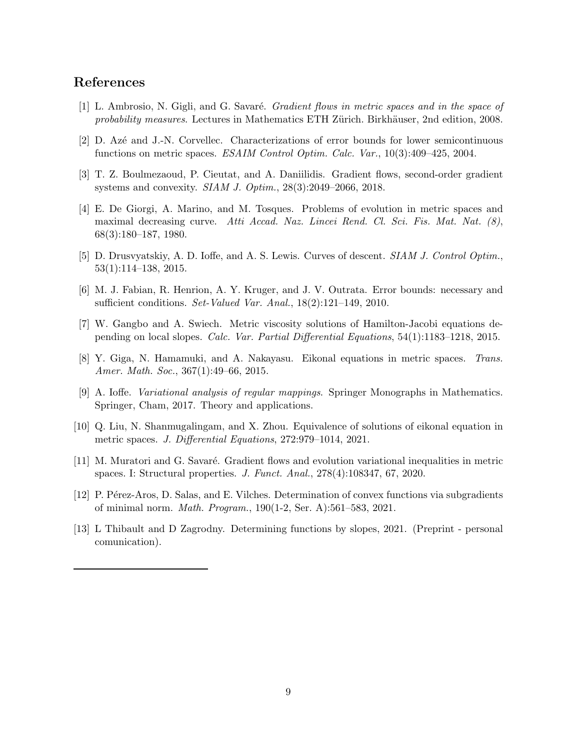## References

- [1] L. Ambrosio, N. Gigli, and G. Savaré. *Gradient flows in metric spaces and in the space of* probability measures. Lectures in Mathematics ETH Zürich. Birkhäuser, 2nd edition, 2008.
- [2] D. Az´e and J.-N. Corvellec. Characterizations of error bounds for lower semicontinuous functions on metric spaces. ESAIM Control Optim. Calc. Var., 10(3):409–425, 2004.
- [3] T. Z. Boulmezaoud, P. Cieutat, and A. Daniilidis. Gradient flows, second-order gradient systems and convexity. SIAM J. Optim., 28(3):2049–2066, 2018.
- [4] E. De Giorgi, A. Marino, and M. Tosques. Problems of evolution in metric spaces and maximal decreasing curve. Atti Accad. Naz. Lincei Rend. Cl. Sci. Fis. Mat. Nat. (8), 68(3):180–187, 1980.
- [5] D. Drusvyatskiy, A. D. Ioffe, and A. S. Lewis. Curves of descent. SIAM J. Control Optim., 53(1):114–138, 2015.
- [6] M. J. Fabian, R. Henrion, A. Y. Kruger, and J. V. Outrata. Error bounds: necessary and sufficient conditions. Set-Valued Var. Anal., 18(2):121–149, 2010.
- [7] W. Gangbo and A. Swiech. Metric viscosity solutions of Hamilton-Jacobi equations depending on local slopes. Calc. Var. Partial Differential Equations, 54(1):1183–1218, 2015.
- [8] Y. Giga, N. Hamamuki, and A. Nakayasu. Eikonal equations in metric spaces. Trans. Amer. Math. Soc., 367(1):49–66, 2015.
- [9] A. Ioffe. Variational analysis of regular mappings. Springer Monographs in Mathematics. Springer, Cham, 2017. Theory and applications.
- [10] Q. Liu, N. Shanmugalingam, and X. Zhou. Equivalence of solutions of eikonal equation in metric spaces. J. Differential Equations, 272:979–1014, 2021.
- [11] M. Muratori and G. Savaré. Gradient flows and evolution variational inequalities in metric spaces. I: Structural properties. J. Funct. Anal., 278(4):108347, 67, 2020.
- [12] P. Pérez-Aros, D. Salas, and E. Vilches. Determination of convex functions via subgradients of minimal norm. Math. Program., 190(1-2, Ser. A):561–583, 2021.
- [13] L Thibault and D Zagrodny. Determining functions by slopes, 2021. (Preprint personal comunication).